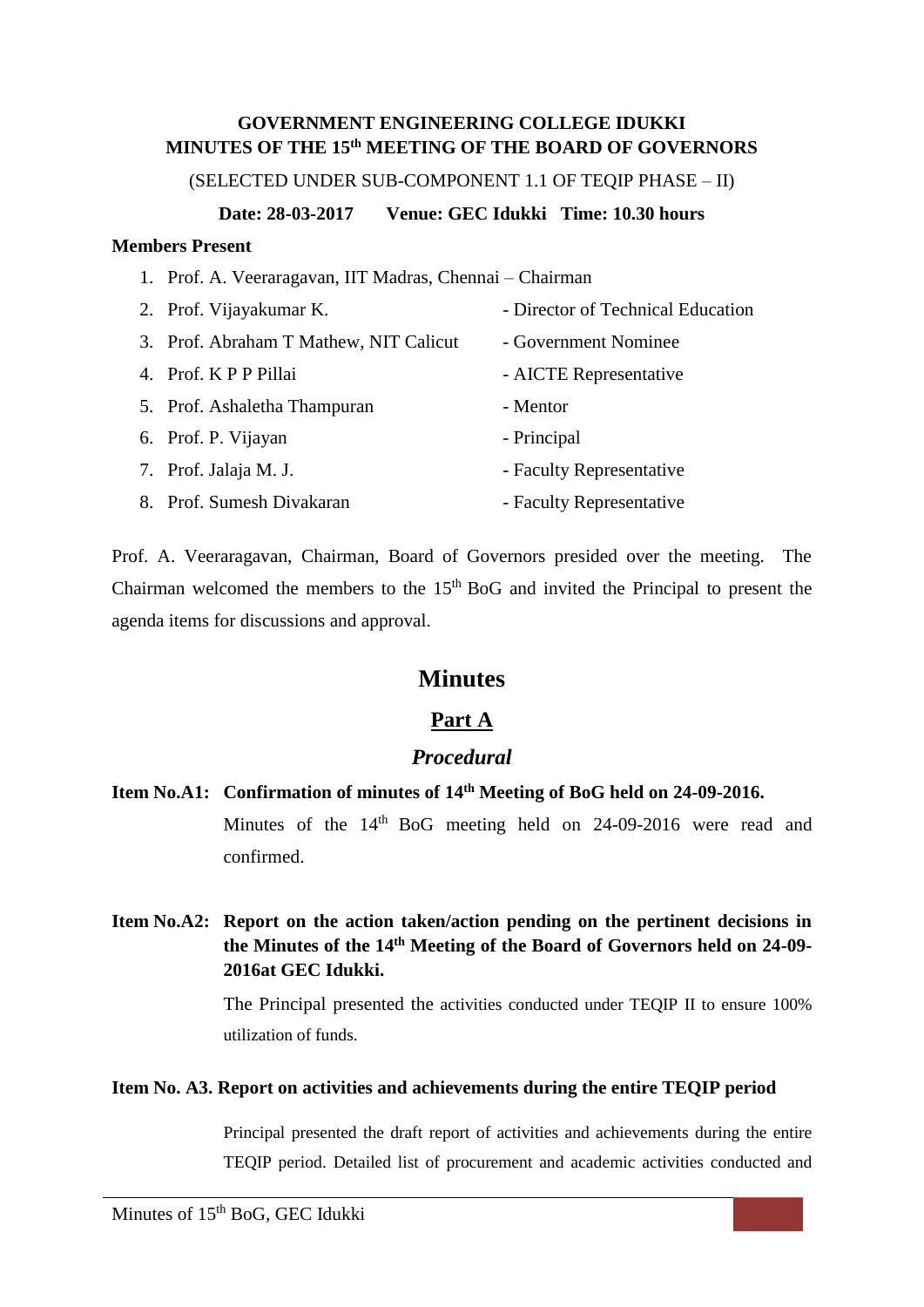## **GOVERNMENT ENGINEERING COLLEGE IDUKKI MINUTES OF THE 15th MEETING OF THE BOARD OF GOVERNORS**

(SELECTED UNDER SUB-COMPONENT 1.1 OF TEQIP PHASE – II)

**Date: 28-03-2017 Venue: GEC Idukki Time: 10.30 hours**

### **Members Present**

1. Prof. A. Veeraragavan, IIT Madras, Chennai – Chairman

| 2. Prof. Vijayakumar K.                | - Director of Technical Education |
|----------------------------------------|-----------------------------------|
| 3. Prof. Abraham T Mathew, NIT Calicut | - Government Nominee              |
| 4. Prof. K P P Pillai                  | - AICTE Representative            |
| 5. Prof. Ashaletha Thampuran           | - Mentor                          |
| 6. Prof. P. Vijayan                    | - Principal                       |
| 7. Prof. Jalaja M. J.                  | - Faculty Representative          |
| 8. Prof. Sumesh Divakaran              | - Faculty Representative          |

Prof. A. Veeraragavan, Chairman, Board of Governors presided over the meeting. The Chairman welcomed the members to the  $15<sup>th</sup>$  BoG and invited the Principal to present the agenda items for discussions and approval.

# **Minutes**

# **Part A**

## *Procedural*

**Item No.A1: Confirmation of minutes of 14th Meeting of BoG held on 24-09-2016.** Minutes of the  $14<sup>th</sup>$  BoG meeting held on 24-09-2016 were read and

confirmed.

**Item No.A2: Report on the action taken/action pending on the pertinent decisions in the Minutes of the 14 th Meeting of the Board of Governors held on 24-09- 2016at GEC Idukki.**

> The Principal presented the activities conducted under TEQIP II to ensure 100% utilization of funds.

## **Item No. A3. Report on activities and achievements during the entire TEQIP period**

Principal presented the draft report of activities and achievements during the entire TEQIP period. Detailed list of procurement and academic activities conducted and

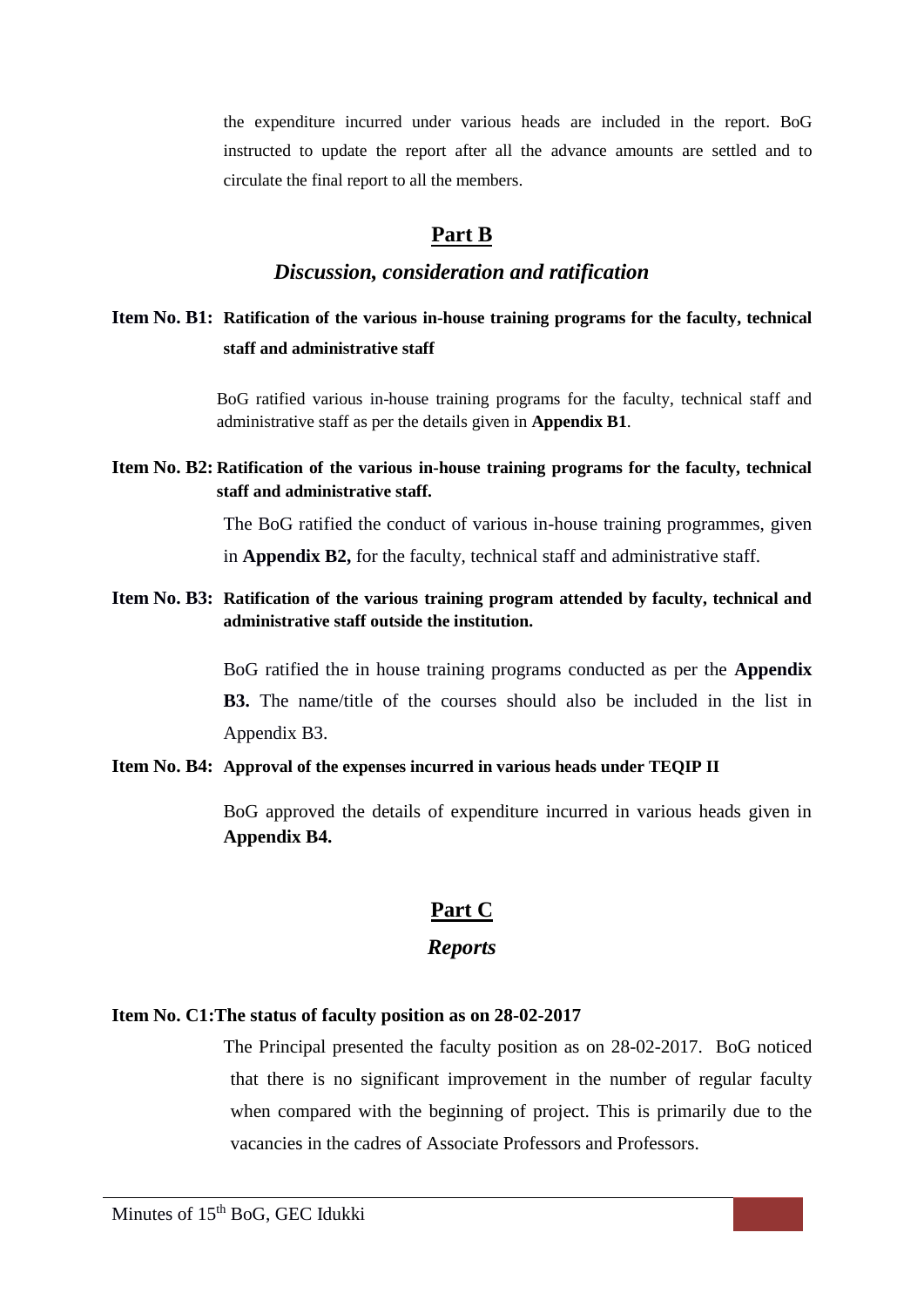the expenditure incurred under various heads are included in the report. BoG instructed to update the report after all the advance amounts are settled and to circulate the final report to all the members.

## **Part B**

## *Discussion, consideration and ratification*

# **Item No. B1: Ratification of the various in-house training programs for the faculty, technical staff and administrative staff**

BoG ratified various in-house training programs for the faculty, technical staff and administrative staff as per the details given in **Appendix B1**.

**Item No. B2: Ratification of the various in-house training programs for the faculty, technical staff and administrative staff.** 

> The BoG ratified the conduct of various in-house training programmes, given in **Appendix B2,** for the faculty, technical staff and administrative staff.

**Item No. B3: Ratification of the various training program attended by faculty, technical and administrative staff outside the institution.**

> BoG ratified the in house training programs conducted as per the **Appendix B3.** The name/title of the courses should also be included in the list in Appendix B3.

#### **Item No. B4: Approval of the expenses incurred in various heads under TEQIP II**

BoG approved the details of expenditure incurred in various heads given in **Appendix B4.**

# **Part C**

## *Reports*

### **Item No. C1:The status of faculty position as on 28-02-2017**

The Principal presented the faculty position as on 28-02-2017. BoG noticed that there is no significant improvement in the number of regular faculty when compared with the beginning of project. This is primarily due to the vacancies in the cadres of Associate Professors and Professors.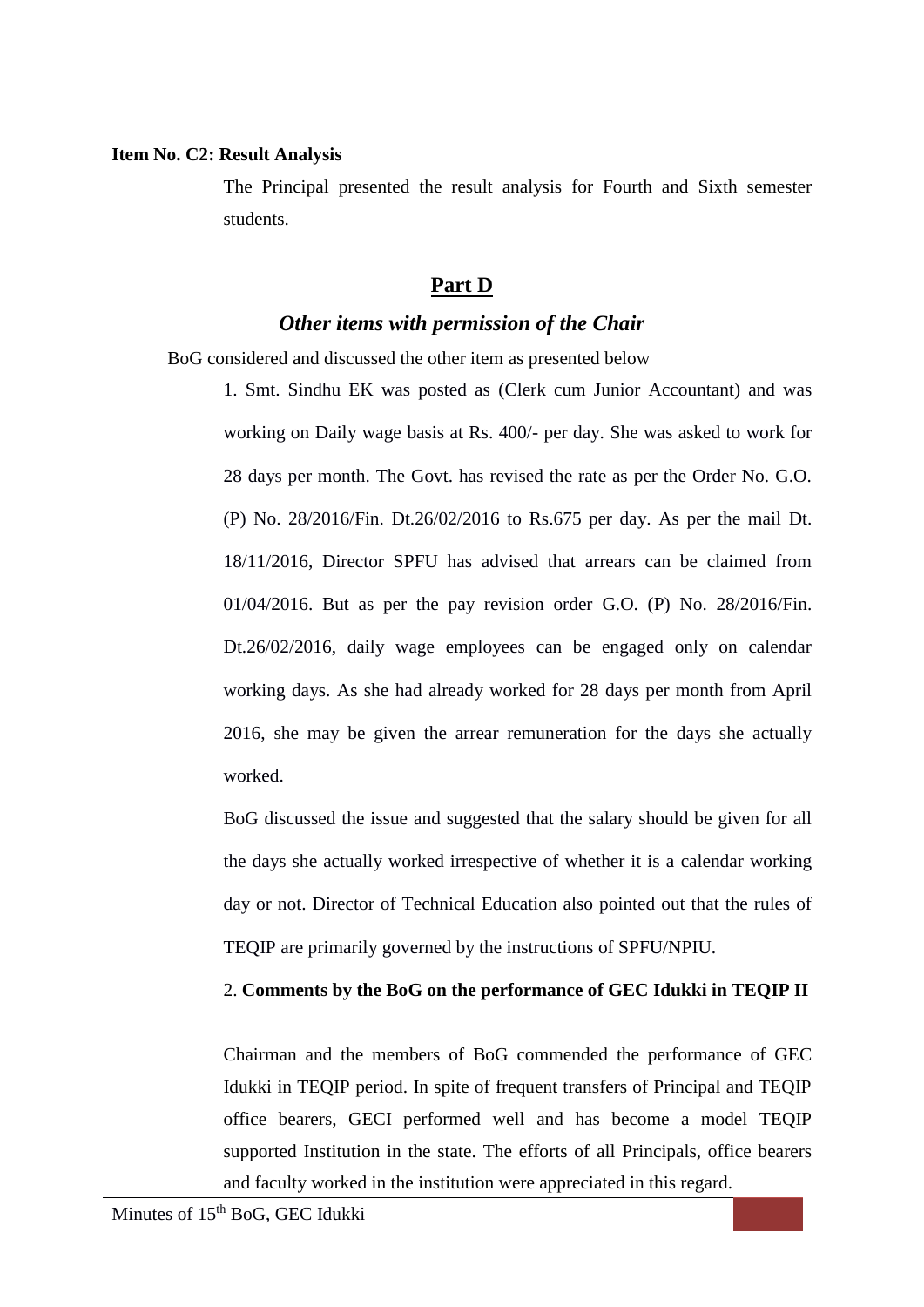### **Item No. C2: Result Analysis**

The Principal presented the result analysis for Fourth and Sixth semester students.

## **Part D**

# *Other items with permission of the Chair*

BoG considered and discussed the other item as presented below

1. Smt. Sindhu EK was posted as (Clerk cum Junior Accountant) and was working on Daily wage basis at Rs. 400/- per day. She was asked to work for 28 days per month. The Govt. has revised the rate as per the Order No. G.O. (P) No. 28/2016/Fin. Dt.26/02/2016 to Rs.675 per day. As per the mail Dt. 18/11/2016, Director SPFU has advised that arrears can be claimed from 01/04/2016. But as per the pay revision order G.O. (P) No. 28/2016/Fin. Dt.26/02/2016, daily wage employees can be engaged only on calendar working days. As she had already worked for 28 days per month from April 2016, she may be given the arrear remuneration for the days she actually worked.

BoG discussed the issue and suggested that the salary should be given for all the days she actually worked irrespective of whether it is a calendar working day or not. Director of Technical Education also pointed out that the rules of TEQIP are primarily governed by the instructions of SPFU/NPIU.

## 2. **Comments by the BoG on the performance of GEC Idukki in TEQIP II**

Chairman and the members of BoG commended the performance of GEC Idukki in TEQIP period. In spite of frequent transfers of Principal and TEQIP office bearers, GECI performed well and has become a model TEQIP supported Institution in the state. The efforts of all Principals, office bearers and faculty worked in the institution were appreciated in this regard.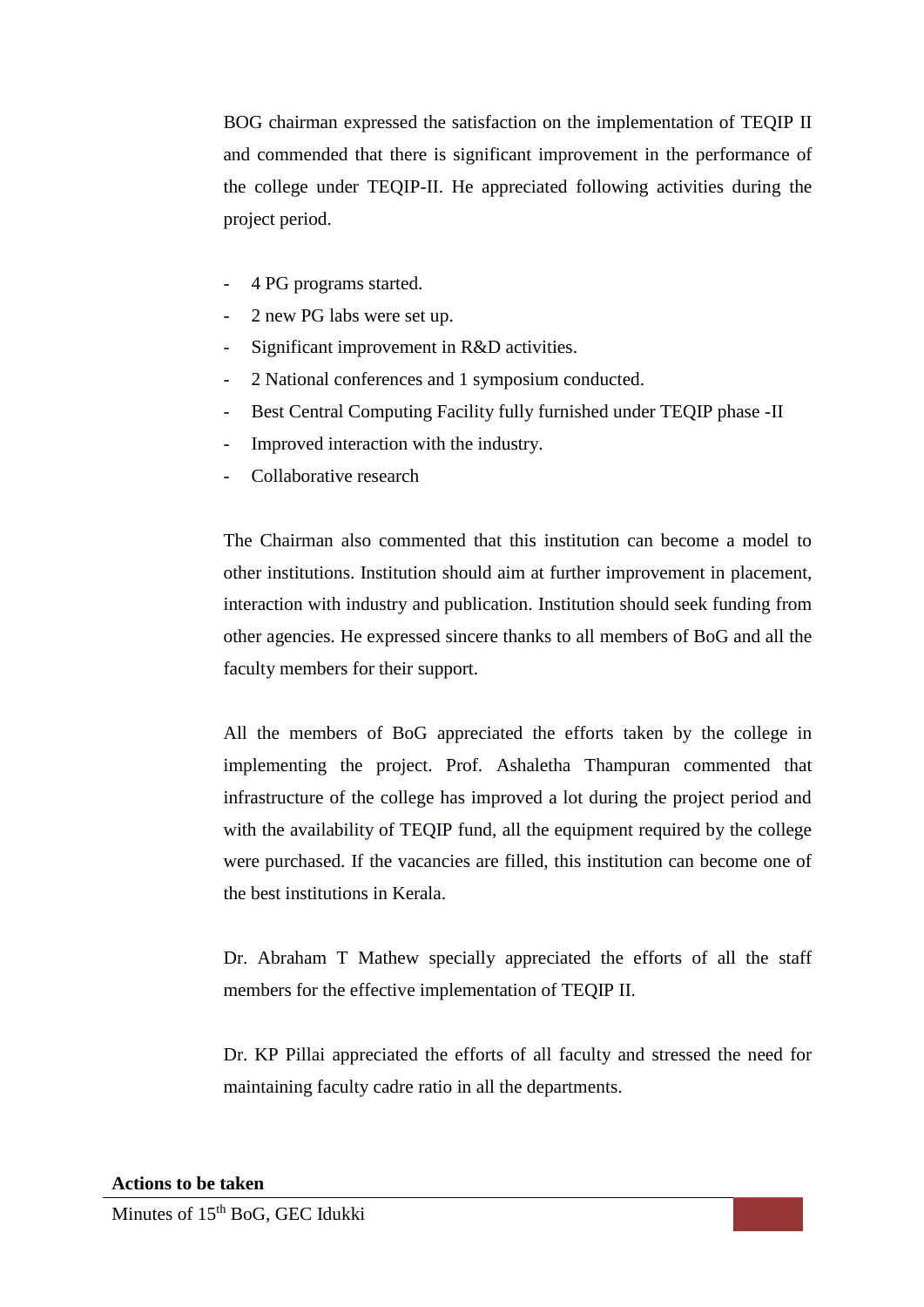BOG chairman expressed the satisfaction on the implementation of TEQIP II and commended that there is significant improvement in the performance of the college under TEQIP-II. He appreciated following activities during the project period.

- 4 PG programs started.
- 2 new PG labs were set up.
- Significant improvement in R&D activities.
- 2 National conferences and 1 symposium conducted.
- Best Central Computing Facility fully furnished under TEQIP phase -II
- Improved interaction with the industry.
- Collaborative research

The Chairman also commented that this institution can become a model to other institutions. Institution should aim at further improvement in placement, interaction with industry and publication. Institution should seek funding from other agencies. He expressed sincere thanks to all members of BoG and all the faculty members for their support.

All the members of BoG appreciated the efforts taken by the college in implementing the project. Prof. Ashaletha Thampuran commented that infrastructure of the college has improved a lot during the project period and with the availability of TEQIP fund, all the equipment required by the college were purchased. If the vacancies are filled, this institution can become one of the best institutions in Kerala.

Dr. Abraham T Mathew specially appreciated the efforts of all the staff members for the effective implementation of TEQIP II.

Dr. KP Pillai appreciated the efforts of all faculty and stressed the need for maintaining faculty cadre ratio in all the departments.